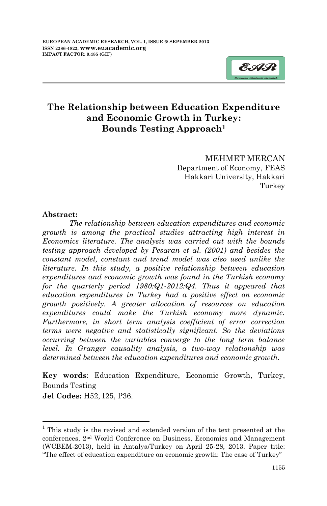

MEHMET MERCAN Department of Economy, FEAS Hakkari University, Hakkari Turkey

#### **Abstract:**

*The relationship between education expenditures and economic growth is among the practical studies attracting high interest in Economics literature. The analysis was carried out with the bounds testing approach developed by Pesaran et al. (2001) and besides the constant model, constant and trend model was also used unlike the literature. In this study, a positive relationship between education expenditures and economic growth was found in the Turkish economy for the quarterly period 1980:Q1-2012:Q4. Thus it appeared that education expenditures in Turkey had a positive effect on economic growth positively. A greater allocation of resources on education expenditures could make the Turkish economy more dynamic. Furthermore, in short term analysis coefficient of error correction terms were negative and statistically significant. So the deviations occurring between the variables converge to the long term balance level. In Granger causality analysis, a two-way relationship was determined between the education expenditures and economic growth.* 

**Key words**: Education Expenditure, Economic Growth, Turkey, Bounds Testing

**Jel Codes:** H52, I25, P36.

**.** 

<sup>&</sup>lt;sup>1</sup> This study is the revised and extended version of the text presented at the conferences, 2nd World Conference on Business, Economics and Management (WCBEM-2013), held in Antalya/Turkey on April 25-28, 2013. Paper title: "The effect of education expenditure on economic growth: The case of Turkey"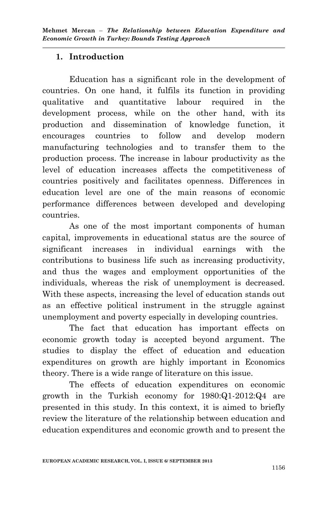# **1. Introduction**

Education has a significant role in the development of countries. On one hand, it fulfils its function in providing qualitative and quantitative labour required in the development process, while on the other hand, with its production and dissemination of knowledge function, it encourages countries to follow and develop modern manufacturing technologies and to transfer them to the production process. The increase in labour productivity as the level of education increases affects the competitiveness of countries positively and facilitates openness. Differences in education level are one of the main reasons of economic performance differences between developed and developing countries.

As one of the most important components of human capital, improvements in educational status are the source of significant increases in individual earnings with the contributions to business life such as increasing productivity, and thus the wages and employment opportunities of the individuals, whereas the risk of unemployment is decreased. With these aspects, increasing the level of education stands out as an effective political instrument in the struggle against unemployment and poverty especially in developing countries.

The fact that education has important effects on economic growth today is accepted beyond argument. The studies to display the effect of education and education expenditures on growth are highly important in Economics theory. There is a wide range of literature on this issue.

The effects of education expenditures on economic growth in the Turkish economy for 1980:Q1-2012:Q4 are presented in this study. In this context, it is aimed to briefly review the literature of the relationship between education and education expenditures and economic growth and to present the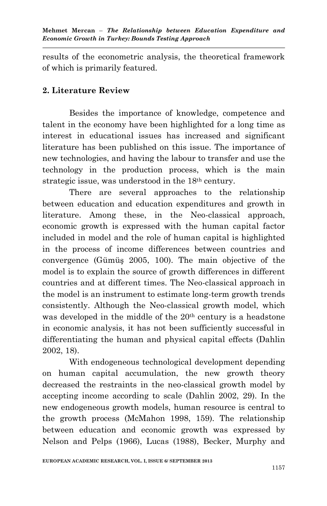results of the econometric analysis, the theoretical framework of which is primarily featured.

# **2. Literature Review**

Besides the importance of knowledge, competence and talent in the economy have been highlighted for a long time as interest in educational issues has increased and significant literature has been published on this issue. The importance of new technologies, and having the labour to transfer and use the technology in the production process, which is the main strategic issue, was understood in the 18th century.

There are several approaches to the relationship between education and education expenditures and growth in literature. Among these, in the Neo-classical approach, economic growth is expressed with the human capital factor included in model and the role of human capital is highlighted in the process of income differences between countries and convergence (Gümüş 2005, 100). The main objective of the model is to explain the source of growth differences in different countries and at different times. The Neo-classical approach in the model is an instrument to estimate long-term growth trends consistently. Although the Neo-classical growth model, which was developed in the middle of the 20<sup>th</sup> century is a headstone in economic analysis, it has not been sufficiently successful in differentiating the human and physical capital effects (Dahlin 2002, 18).

With endogeneous technological development depending on human capital accumulation, the new growth theory decreased the restraints in the neo-classical growth model by accepting income according to scale (Dahlin 2002, 29). In the new endogeneous growth models, human resource is central to the growth process (McMahon 1998, 159). The relationship between education and economic growth was expressed by Nelson and Pelps (1966), Lucas (1988), Becker, Murphy and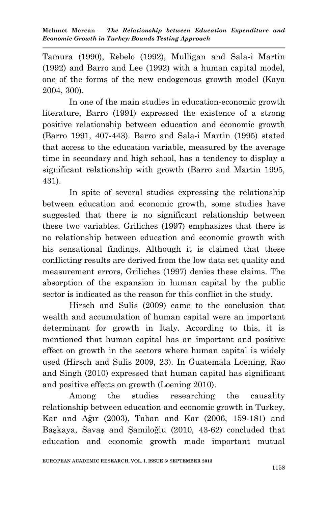Tamura (1990), Rebelo (1992), Mulligan and Sala-i Martin (1992) and Barro and Lee (1992) with a human capital model, one of the forms of the new endogenous growth model (Kaya 2004, 300).

In one of the main studies in education-economic growth literature, Barro (1991) expressed the existence of a strong positive relationship between education and economic growth (Barro 1991, 407-443). Barro and Sala-i Martin (1995) stated that access to the education variable, measured by the average time in secondary and high school, has a tendency to display a significant relationship with growth (Barro and Martin 1995, 431).

In spite of several studies expressing the relationship between education and economic growth, some studies have suggested that there is no significant relationship between these two variables. Griliches (1997) emphasizes that there is no relationship between education and economic growth with his sensational findings. Although it is claimed that these conflicting results are derived from the low data set quality and measurement errors, Griliches (1997) denies these claims. The absorption of the expansion in human capital by the public sector is indicated as the reason for this conflict in the study.

Hirsch and Sulis (2009) came to the conclusion that wealth and accumulation of human capital were an important determinant for growth in Italy. According to this, it is mentioned that human capital has an important and positive effect on growth in the sectors where human capital is widely used (Hirsch and Sulis 2009, 23). In Guatemala Loening, Rao and Singh (2010) expressed that human capital has significant and positive effects on growth (Loening 2010).

Among the studies researching the causality relationship between education and economic growth in Turkey, Kar and Ağır (2003), Taban and Kar (2006, 159-181) and Başkaya, Savaş and Şamiloğlu (2010, 43-62) concluded that education and economic growth made important mutual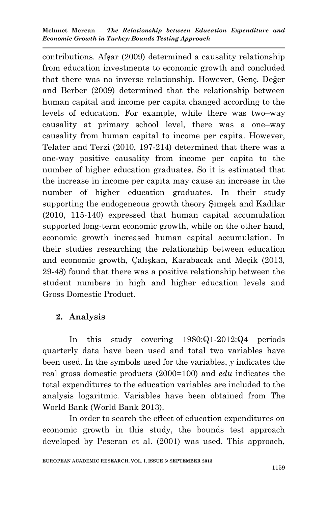**Mehmet Mercan** – *The Relationship between Education Expenditure and Economic Growth in Turkey: Bounds Testing Approach*

contributions. Afşar (2009) determined a causality relationship from education investments to economic growth and concluded that there was no inverse relationship. However, Genç, Değer and Berber (2009) determined that the relationship between human capital and income per capita changed according to the levels of education. For example, while there was two–way causality at primary school level, there was a one–way causality from human capital to income per capita. However, Telater and Terzi (2010, 197-214) determined that there was a one-way positive causality from income per capita to the number of higher education graduates. So it is estimated that the increase in income per capita may cause an increase in the number of higher education graduates. In their study supporting the endogeneous growth theory Şimşek and Kadılar (2010, 115-140) expressed that human capital accumulation supported long-term economic growth, while on the other hand, economic growth increased human capital accumulation. In their studies researching the relationship between education and economic growth, Çalışkan, Karabacak and Meçik (2013, 29-48) found that there was a positive relationship between the student numbers in high and higher education levels and Gross Domestic Product.

## **2. Analysis**

In this study covering 1980:Q1-2012:Q4 periods quarterly data have been used and total two variables have been used. In the symbols used for the variables, *y* indicates the real gross domestic products (2000=100) and *edu* indicates the total expenditures to the education variables are included to the analysis logaritmic. Variables have been obtained from The World Bank (World Bank 2013).

In order to search the effect of education expenditures on economic growth in this study, the bounds test approach developed by Peseran et al. (2001) was used. This approach,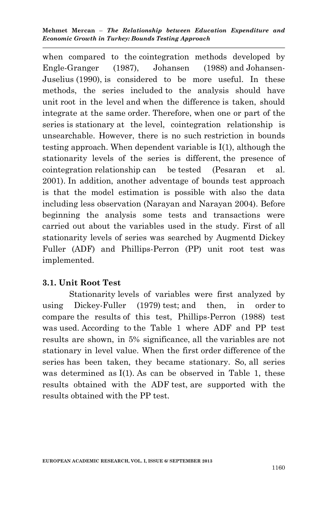**Mehmet Mercan** – *The Relationship between Education Expenditure and Economic Growth in Turkey: Bounds Testing Approach*

when compared to the cointegration methods developed by Engle-Granger (1987), Johansen (1988) and Johansen-Juselius (1990), is considered to be more useful. In these methods, the series included to the analysis should have unit root in the level and when the difference is taken, should integrate at the same order. Therefore, when one or part of the series is stationary at the level, cointegration relationship is unsearchable. However, there is no such restriction in bounds testing approach. When dependent variable is I(1), although the stationarity levels of the series is different, the presence of cointegration relationship can be tested (Pesaran et al. 2001). In addition, another adventage of bounds test approach is that the model estimation is possible with also the data including less observation (Narayan and Narayan 2004). Before beginning the analysis some tests and transactions were carried out about the variables used in the study. First of all stationarity levels of series was searched by Augmentd Dickey Fuller (ADF) and Phillips-Perron (PP) unit root test was implemented.

## **3.1. Unit Root Test**

Stationarity levels of variables were first analyzed by using Dickey-Fuller (1979) test; and then, in order to compare the results of this test, Phillips-Perron (1988) test was used. According to the Table 1 where ADF and PP test results are shown, in 5% significance, all the variables are not stationary in level value. When the first order difference of the series has been taken, they became stationary. So, all series was determined as I(1). As can be observed in Table 1, these results obtained with the ADF test, are supported with the results obtained with the PP test.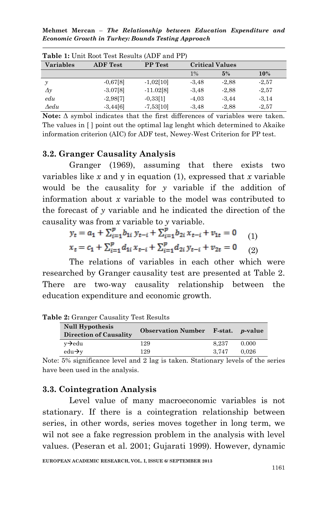**Mehmet Mercan** – *The Relationship between Education Expenditure and Economic Growth in Turkey: Bounds Testing Approach*

| <b>Variables</b> | <b>ADF</b> Test | <b>PP</b> Test |         | <b>Critical Values</b> |         |
|------------------|-----------------|----------------|---------|------------------------|---------|
|                  |                 |                | $1\%$   | 5%                     | 10%     |
| $\mathcal{Y}$    | $-0.67[8]$      | $-1,02[10]$    | $-3.48$ | $-2.88$                | $-2.57$ |
| $\Delta y$       | $-3.07[8]$      | $-11.02[8]$    | $-3.48$ | $-2.88$                | $-2.57$ |
| edu              | $-2,98[7]$      | $-0.33[1]$     | $-4.03$ | $-3.44$                | $-3,14$ |
| $A$ edu          | $-3,44[6]$      | $-7,53[10]$    | $-3.48$ | $-2,88$                | $-2.57$ |

**Table 1:** Unit Root Test Results (ADF and PP)

**Note:** Δ symbol indicates that the first differences of variables were taken. The values in [ ] point out the optimal lag lenght which determined to Akaike information criterion (AIC) for ADF test, Newey-West Criterion for PP test.

#### **3.2. Granger Causality Analysis**

Granger (1969), assuming that there exists two variables like *x* and y in equation (1), expressed that *x* variable would be the causality for *y* variable if the addition of information about *x* variable to the model was contributed to the forecast of *y* variable and he indicated the direction of the causality was from *x* variable to *y* variable.

$$
y_t = a_1 + \sum_{i=1}^p b_{1i} y_{t-i} + \sum_{i=1}^p b_{2i} x_{t-i} + v_{1t} = 0
$$
  
\n
$$
x_t = c_1 + \sum_{i=1}^p d_{1i} x_{t-i} + \sum_{i=1}^p d_{2i} y_{t-i} + v_{2t} = 0
$$
 (2)

The relations of variables in each other which were researched by Granger causality test are presented at Table 2. There are two-way causality relationship between the education expenditure and economic growth.

| <b>Null Hypothesis</b>        | Observation Number F-stat. p-value |       |       |
|-------------------------------|------------------------------------|-------|-------|
| <b>Direction of Causality</b> |                                    |       |       |
| $v \rightarrow$ edu           | 129                                | 8.237 | 0.000 |
| $edu \rightarrow v$           | 129                                | 3.747 | 0.026 |

**Table 2:** Granger Causality Test Results

## **3.3. Cointegration Analysis**

Level value of many macroeconomic variables is not stationary. If there is a cointegration relationship between series, in other words, series moves together in long term, we wil not see a fake regression problem in the analysis with level values. (Peseran et al. 2001; Gujarati 1999). However, dynamic

Note: 5% significance level and 2 lag is taken. Stationary levels of the series have been used in the analysis.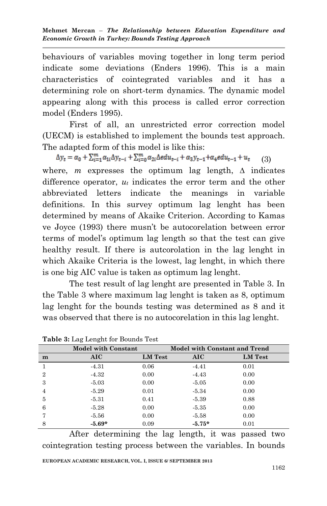behaviours of variables moving together in long term period indicate some deviations (Enders 1996). This is a main characteristics of cointegrated variables and it has a determining role on short-term dynamics. The dynamic model appearing along with this process is called error correction model (Enders 1995).

First of all, an unrestricted error correction model (UECM) is established to implement the bounds test approach. The adapted form of this model is like this:

 $\Delta y_t = \alpha_0 + \sum_{i=1}^m \alpha_{1i} \Delta y_{t-i} + \sum_{i=0}^m \alpha_{2i} \Delta e du_{t-i} + \alpha_3 y_{t-1} + \alpha_4 e du_{t-1} + u_t$  (3) where, *m* expresses the optimum lag length, ∆ indicates difference operator, *u<sup>t</sup>* indicates the error term and the other abbreviated letters indicate the meanings in variable definitions. In this survey optimum lag lenght has been determined by means of Akaike Criterion. According to Kamas ve Joyce (1993) there musn't be autocorelation between error terms of model's optimum lag length so that the test can give healthy result. If there is autcorolation in the lag lenght in which Akaike Criteria is the lowest, lag lenght, in which there is one big AIC value is taken as optimum lag lenght.

The test result of lag lenght are presented in Table 3. In the Table 3 where maximum lag lenght is taken as 8, optimum lag lenght for the bounds testing was determined as 8 and it was observed that there is no autocorelation in this lag lenght.

|   | <b>Model with Constant</b> |                | <b>Model with Constant and Trend</b> |                |  |
|---|----------------------------|----------------|--------------------------------------|----------------|--|
| m | AIC.                       | <b>LM</b> Test | <b>AIC</b>                           | <b>LM</b> Test |  |
|   | $-4.31$                    | 0.06           | $-4.41$                              | 0.01           |  |
| 2 | $-4.32$                    | 0.00           | $-4.43$                              | 0.00           |  |
| 3 | $-5.03$                    | 0.00           | $-5.05$                              | 0.00           |  |
| 4 | $-5.29$                    | 0.01           | $-5.34$                              | 0.00           |  |
| 5 | $-5.31$                    | 0.41           | $-5.39$                              | 0.88           |  |
| 6 | $-5.28$                    | 0.00           | $-5.35$                              | 0.00           |  |
|   | $-5.56$                    | 0.00           | $-5.58$                              | 0.00           |  |
| 8 | $-5.69*$                   | 0.09           | $-5.75*$                             | 0.01           |  |

**Table 3:** Lag Lenght for Bounds Test

**EUROPEAN ACADEMIC RESEARCH, VOL. I, ISSUE 6/ SEPTEMBER 2013** After determining the lag length, it was passed two cointegration testing process between the variables. In bounds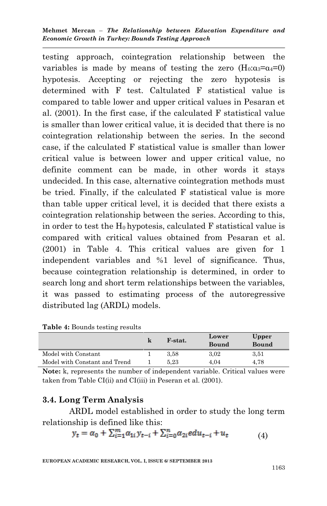**Mehmet Mercan** – *The Relationship between Education Expenditure and Economic Growth in Turkey: Bounds Testing Approach*

testing approach, cointegration relationship between the variables is made by means of testing the zero  $(H_0: \alpha_3 = \alpha_4 = 0)$ hypotesis. Accepting or rejecting the zero hypotesis is determined with F test. Caltulated F statistical value is compared to table lower and upper critical values in Pesaran et al. (2001). In the first case, if the calculated F statistical value is smaller than lower critical value, it is decided that there is no cointegration relationship between the series. In the second case, if the calculated F statistical value is smaller than lower critical value is between lower and upper critical value, no definite comment can be made, in other words it stays undecided. In this case, alternative cointegration methods must be tried. Finally, if the calculated F statistical value is more than table upper critical level, it is decided that there exists a cointegration relationship between the series. According to this, in order to test the  $H_0$  hypotesis, calculated  $F$  statistical value is compared with critical values obtained from Pesaran et al. (2001) in Table 4. This critical values are given for 1 independent variables and %1 level of significance. Thus, because cointegration relationship is determined, in order to search long and short term relationships between the variables, it was passed to estimating process of the autoregressive distributed lag (ARDL) models.

|                               | F-stat.  | Lower<br>Bound | Upper<br><b>Bound</b> |
|-------------------------------|----------|----------------|-----------------------|
| Model with Constant           | 3.58     | 3.02           | 3.51                  |
| Model with Constant and Trend | $5.23\,$ | 4.04           | 4.78                  |

**Table 4:** Bounds testing results

**Note:** k, represents the number of independent variable. Critical values were taken from Table CI(ii) and CI(iii) in Peseran et al. (2001).

## **3.4. Long Term Analysis**

ARDL model established in order to study the long term relationship is defined like this:

$$
y_t = \alpha_0 + \sum_{i=1}^{m} \alpha_{1i} y_{t-i} + \sum_{i=0}^{n} \alpha_{2i} e du_{t-i} + u_t
$$
 (4)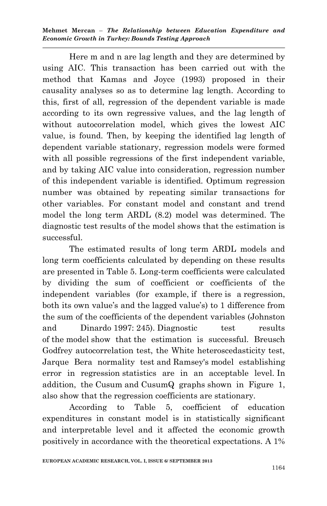Here m and n are lag length and they are determined by using AIC. This transaction has been carried out with the method that Kamas and Joyce (1993) proposed in their causality analyses so as to determine lag length. According to this, first of all, regression of the dependent variable is made according to its own regressive values, and the lag length of without autocorrelation model, which gives the lowest AIC value, is found. Then, by keeping the identified lag length of dependent variable stationary, regression models were formed with all possible regressions of the first independent variable, and by taking AIC value into consideration, regression number of this independent variable is identified. Optimum regression number was obtained by repeating similar transactions for other variables. For constant model and constant and trend model the long term ARDL (8.2) model was determined. The diagnostic test results of the model shows that the estimation is successful.

The estimated results of long term ARDL models and long term coefficients calculated by depending on these results are presented in Table 5. Long-term coefficients were calculated by dividing the sum of coefficient or coefficients of the independent variables (for example, if there is a regression, both its own value's and the lagged value's) to 1 difference from the sum of the coefficients of the dependent variables (Johnston and Dinardo 1997: 245). Diagnostic test results of the model show that the estimation is successful. Breusch Godfrey autocorrelation test, the White heteroscedasticity test, Jarque Bera normality test and Ramsey's model establishing error in regression statistics are in an acceptable level. In addition, the Cusum and CusumQ graphs shown in Figure 1, also show that the regression coefficients are stationary.

According to Table 5, coefficient of education expenditures in constant model is in statistically significant and interpretable level and it affected the economic growth positively in accordance with the theoretical expectations. A 1%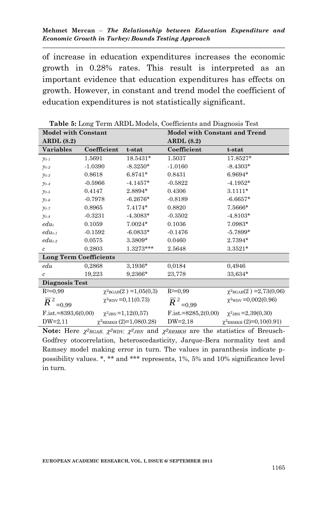of increase in education expenditures increases the economic growth in 0.28% rates. This result is interpreted as an important evidence that education expenditures has effects on growth. However, in constant and trend model the coefficient of education expenditures is not statistically significant.

|                                 | <b>Table 9.</b> Doing Term Through, Coemercino and Diagnosis Test<br><b>Model with Constant</b><br><b>Model with Constant and Trend</b> |                                            |                                     |                                       |  |  |
|---------------------------------|-----------------------------------------------------------------------------------------------------------------------------------------|--------------------------------------------|-------------------------------------|---------------------------------------|--|--|
| <b>ARDL</b> (8.2)               |                                                                                                                                         |                                            | <b>ARDL</b> (8.2)                   |                                       |  |  |
| <b>Variables</b>                | Coefficient                                                                                                                             | t-stat                                     | Coefficient                         | t-stat                                |  |  |
|                                 |                                                                                                                                         |                                            |                                     |                                       |  |  |
| $y_{t-1}$                       | 1.5691                                                                                                                                  | 18.5431*                                   | 1.5037                              | 17.8527*                              |  |  |
| $y_{t-2}$                       | $-1.0390$                                                                                                                               | $-8.3250*$                                 | $-1.0160$                           | $-8.4303*$                            |  |  |
| $y_{t-3}$                       | 0.8618                                                                                                                                  | $6.8741*$                                  | 0.8431                              | 6.9694*                               |  |  |
| $y_{t-4}$                       | $-0.5966$                                                                                                                               | $-4.1457*$                                 | $-0.5822$                           | $-4.1952*$                            |  |  |
| $y_{t-5}$                       | 0.4147                                                                                                                                  | $2.8894*$                                  | 0.4306                              | $3.1111*$                             |  |  |
| $y_{t-6}$                       | $-0.7978$                                                                                                                               | $-6.2676*$                                 | $-0.8189$                           | $-6.6657*$                            |  |  |
| $y_{t-7}$                       | 0.8965                                                                                                                                  | $7.4174*$                                  | 0.8820                              | 7.5666*                               |  |  |
| $y_{t-8}$                       | $-0.3231$                                                                                                                               | $-4.3083*$                                 | $-0.3502$                           | $-4.8103*$                            |  |  |
| $edu_t$                         | 0.1059                                                                                                                                  | $7.0024*$                                  | 0.1036                              | 7.0983*                               |  |  |
| $edu_{t-1}$                     | $-0.1592$                                                                                                                               | $-6.0833*$                                 | $-0.1476$                           | $-5.7899*$                            |  |  |
| $edu_{t-2}$                     | 0.0575                                                                                                                                  | 3.3809*                                    | 0.0460                              | 2.7394*                               |  |  |
| $\mathfrak{c}$                  | 0.2803                                                                                                                                  | $1.3273***$                                | 2.5648                              | $3.3521*$                             |  |  |
| <b>Long Term Coefficients</b>   |                                                                                                                                         |                                            |                                     |                                       |  |  |
| $_{edu}$                        | 0,2868                                                                                                                                  | 3,1936*                                    | 0.0184                              | 0.4946                                |  |  |
| $\mathfrak{c}$                  | 19,223                                                                                                                                  | $9,2366*$                                  | 23,778                              | 33,634*                               |  |  |
| Diagnosis Test                  |                                                                                                                                         |                                            |                                     |                                       |  |  |
| $R^2=0.99$                      |                                                                                                                                         | $\chi^2$ <sub>BGAB</sub> $(2)$ = 1,05(0,3) | $R^2=0.99$                          | $\chi^2$ BGAB(2) = 2,73(0,06)         |  |  |
| $\overline{R}^{\,2}$<br>$=0.99$ |                                                                                                                                         | $\chi^2$ <sub>WDV</sub> = 0,11(0.73)       | $\overline{R}^{2}$ <sub>=0,99</sub> | $\chi^2$ <sub>WDV</sub> = 0,002(0.96) |  |  |
| $F$ .ist.=8393,6(0,00)          |                                                                                                                                         | $\chi^2$ JBN = 1,12(0,57)                  | $F_{\text{.}1st.} = 8285,2(0,00)$   | $\chi^2$ JBN = 2,39(0,30)             |  |  |
| $DW=2,11$                       |                                                                                                                                         | $\chi^2$ RRMKH $(2)=1,08(0.28)$            | $DW=2,18$                           | $\chi^2$ RRMKH $(2)=0,10(0.91)$       |  |  |

**Table 5:** Long Term ARDL Models, Coefficients and Diagnosis Test

Note: Here  $\chi^2$ BGAB,  $\chi^2$ WDV,  $\chi^2$ JBN and  $\chi^2$ RRMKH are the statistics of Breusch-Godfrey otocorrelation, heteroscedasticity, Jarque-Bera normality test and Ramsey model making error in turn. The values in paranthesis indicate ppossibility values. \*, \*\* and \*\*\* represents, 1%, 5% and 10% significance level in turn.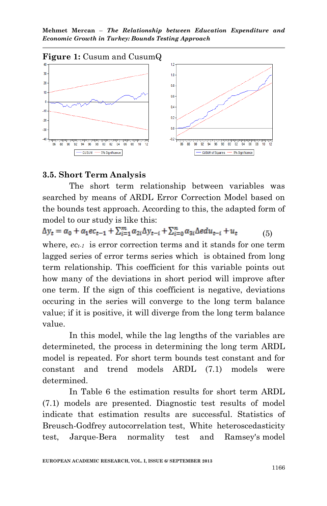**Mehmet Mercan** – *The Relationship between Education Expenditure and Economic Growth in Turkey: Bounds Testing Approach*



#### **3.5. Short Term Analysis**

The short term relationship between variables was searched by means of ARDL Error Correction Model based on the bounds test approach. According to this, the adapted form of model to our study is like this:

 $\Delta y_t = \alpha_0 + \alpha_1 e c_{t-1} + \sum_{i=1}^{m} \alpha_{2i} \Delta y_{t-i} + \sum_{i=0}^{n} \alpha_{3i} \Delta e du_{t-i} + u_t$  (5) where, *ect-1* is error correction terms and it stands for one term lagged series of error terms series which is obtained from long term relationship. This coefficient for this variable points out how many of the deviations in short period will improve after one term. If the sign of this coefficient is negative, deviations occuring in the series will converge to the long term balance value; if it is positive, it will diverge from the long term balance value.

In this model, while the lag lengths of the variables are determineted, the process in determining the long term ARDL model is repeated. For short term bounds test constant and for constant and trend models ARDL (7.1) models were determined.

In Table 6 the estimation results for short term ARDL (7.1) models are presented. Diagnostic test results of model indicate that estimation results are successful. Statistics of Breusch-Godfrey autocorrelation test, White heteroscedasticity test, Jarque-Bera normality test and Ramsey's model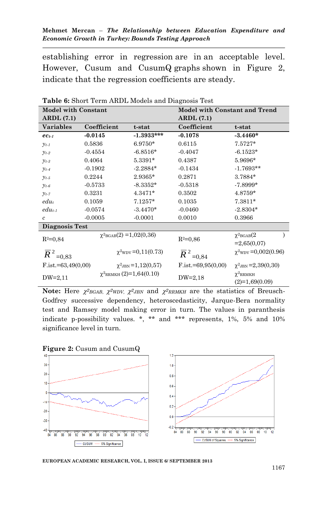establishing error in regression are in an acceptable level. However, Cusum and CusumQ graphs shown in Figure 2, indicate that the regression coefficients are steady.

| <b>Model with Constant</b>          |             |                                 | <b>Model with Constant and Trend</b> |                                      |  |  |
|-------------------------------------|-------------|---------------------------------|--------------------------------------|--------------------------------------|--|--|
| ARDL(7.1)                           |             |                                 | ARDL(7.1)                            |                                      |  |  |
| <b>Variables</b>                    | Coefficient | t-stat                          | Coefficient                          | t-stat                               |  |  |
| $ec_{t-1}$                          | $-0.0145$   | $-1.3933***$                    | $-0.1078$                            | $-3.4460*$                           |  |  |
| $y_{t-1}$                           | 0.5836      | $6.9750*$                       | 0.6115                               | $7.5727*$                            |  |  |
| $y_{t-2}$                           | $-0.4554$   | $-6.8516*$                      | $-0.4047$                            | $-6.1523*$                           |  |  |
| $y_{t-3}$                           | 0.4064      | 5.3391*                         | 0.4387                               | 5.9696*                              |  |  |
| $y_{t-4}$                           | $-0.1902$   | $-2.2884*$                      | $-0.1434$                            | $-1.7693**$                          |  |  |
| $y_{t-5}$                           | 0.2244      | $2.9365*$                       | 0.2871                               | 3.7884*                              |  |  |
| $y_{t-6}$                           | $-0.5733$   | $-8.3352*$                      | $-0.5318$                            | $-7.8999*$                           |  |  |
| $y_{t-7}$                           | 0.3231      | $4.3471*$                       | 0.3502                               | 4.8759*                              |  |  |
| $edu_t$                             | 0.1059      | $7.1257*$                       | 0.1035                               | 7.3811*                              |  |  |
| $edu_{t-1}$                         | $-0.0574$   | $-3.4470*$                      | $-0.0460$                            | $-2.8304*$                           |  |  |
| $\mathfrak{c}$                      | $-0.0005$   | $-0.0001$                       | 0.0010                               | 0.3966                               |  |  |
| Diagnosis Test                      |             |                                 |                                      |                                      |  |  |
| $R^2=0.84$                          |             | $\chi^2$ BGAB(2) = 1,02(0,36)   | $R^2=0.86$                           | $\chi^2$ BGAB $(2)$<br>$=2,65(0,07)$ |  |  |
| $\overline{R}^{2}$ <sub>=0,83</sub> |             | $\chi^2$ WDV = 0,11(0.73)       | $\overline{R}^{2}$ <sub>=0,84</sub>  | $\chi^2$ WDV = 0,002(0.96)           |  |  |
| $F$ .ist.=63,49(0,00)               |             | $\chi^2$ JBN = 1,12(0,57)       | $F_{\text{.}1st} = 69,95(0,00)$      | $\chi^2$ JBN = 2,39(0,30)            |  |  |
| $DW=2,11$                           |             | $\chi^2$ RRMKH $(2)=1,64(0.10)$ | $DW=2,18$                            | $\chi^2$ RRMKH<br>$(2)=1,69(0.09)$   |  |  |

**Table 6:** Short Term ARDL Models and Diagnosis Test

**Note:** Here  $\chi^2$ <sub>BGAB</sub>,  $\chi^2$ <sub>WDV</sub>,  $\chi^2$ <sub>JBN</sub> and  $\chi^2$ <sub>RRMKH</sub> are the statistics of Breusch-Godfrey successive dependency, heteroscedasticity, Jarque-Bera normality test and Ramsey model making error in turn. The values in paranthesis indicate p-possibility values. \*, \*\* and \*\*\* represents, 1%, 5% and 10% significance level in turn.





**EUROPEAN ACADEMIC RESEARCH, VOL. I, ISSUE 6/ SEPTEMBER 2013**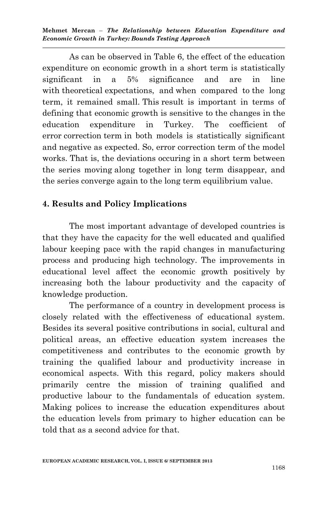As can be observed in Table 6, the effect of the education expenditure on economic growth in a short term is statistically significant in a 5% significance and are in line with theoretical expectations, and when compared to the long term, it remained small. This result is important in terms of defining that economic growth is sensitive to the changes in the education expenditure in Turkey. The coefficient of error correction term in both models is statistically significant and negative as expected. So, error correction term of the model works. That is, the deviations occuring in a short term between the series moving along together in long term disappear, and the series converge again to the long term equilibrium value.

# **4. Results and Policy Implications**

The most important advantage of developed countries is that they have the capacity for the well educated and qualified labour keeping pace with the rapid changes in manufacturing process and producing high technology. The improvements in educational level affect the economic growth positively by increasing both the labour productivity and the capacity of knowledge production.

The performance of a country in development process is closely related with the effectiveness of educational system. Besides its several positive contributions in social, cultural and political areas, an effective education system increases the competitiveness and contributes to the economic growth by training the qualified labour and productivity increase in economical aspects. With this regard, policy makers should primarily centre the mission of training qualified and productive labour to the fundamentals of education system. Making polices to increase the education expenditures about the education levels from primary to higher education can be told that as a second advice for that.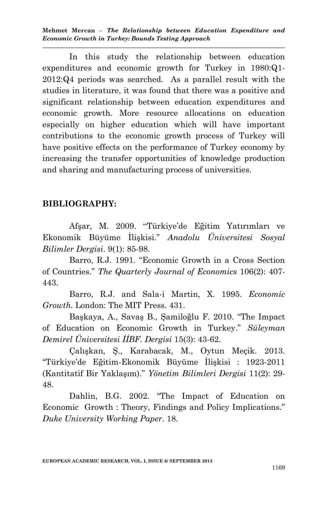In this study the relationship between education expenditures and economic growth for Turkey in 1980:Q1- 2012:Q4 periods was searched. As a parallel result with the studies in literature, it was found that there was a positive and significant relationship between education expenditures and economic growth. More resource allocations on education especially on higher education which will have important contributions to the economic growth process of Turkey will have positive effects on the performance of Turkey economy by increasing the transfer opportunities of knowledge production and sharing and manufacturing process of universities.

## **BIBLIOGRAPHY:**

Afşar, M. 2009. "Türkiye'de Eğitim Yatırımları ve Ekonomik Büyüme İlişkisi." *Anadolu Üniversitesi Sosyal Bilimler Dergisi*. 9(1): 85-98.

Barro, R.J. 1991. "Economic Growth in a Cross Section of Countries." *The Quarterly Journal of Economics* 106(2): 407- 443.

Barro, R.J. and Sala-i Martin, X. 1995. *Economic Growth.* London: The MIT Press. 431.

Başkaya, A., Savaş B., Şamiloğlu F. 2010. "The Impact of Education on Economic Growth in Turkey." *Süleyman Demirel Üniversitesi İİBF. Dergisi* 15(3): 43-62.

Çalışkan, Ş., Karabacak, M., Oytun Meçik. 2013. "Türkiye'de Eğitim-Ekonomik Büyüme İlişkisi : 1923-2011 (Kantitatif Bir Yaklaşım)." *Yönetim Bilimleri Dergisi* 11(2): 29- 48.

Dahlin, B.G. 2002. "The Impact of Education on Economic Growth : Theory, Findings and Policy Implications." *Duke University Working Paper*. 18.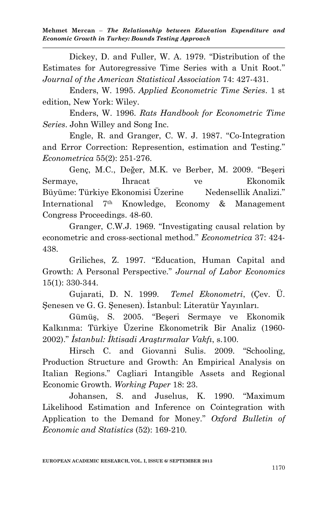Dickey, D. and Fuller, W. A. 1979. "Distribution of the Estimates for Autoregressive Time Series with a Unit Root." *Journal of the American Statistical Association* 74: 427-431.

Enders, W. 1995. *Applied Econometric Time Series*. 1 st edition, New York: Wiley.

Enders, W. 1996. *Rats Handbook for Econometric Time Series*. John Willey and Song Inc.

Engle, R. and Granger, C. W. J. 1987. "Co-Integration and Error Correction: Represention, estimation and Testing*.*" *Econometrica* 55(2): 251-276.

Genç, M.C., Değer, M.K. ve Berber, M. 2009. "Beşeri Sermaye, Ihracat ve Ekonomik Büyüme: Türkiye Ekonomisi Üzerine Nedensellik Analizi." International 7th Knowledge, Economy & Management Congress Proceedings. 48-60.

Granger, C.W.J. 1969. "Investigating causal relation by econometric and cross-sectional method." *Econometrica* 37: 424- 438.

Griliches, Z. 1997. "Education, Human Capital and Growth: A Personal Perspective." *Journal of Labor Economics* 15(1): 330-344.

Gujarati, D. N. 1999. *Temel Ekonometri*, (Çev. Ü. Şenesen ve G. G. Şenesen). İstanbul: Literatür Yayınları.

Gümüş, S. 2005. "Beşeri Sermaye ve Ekonomik Kalkınma: Türkiye Üzerine Ekonometrik Bir Analiz (1960- 2002)." *İstanbul: İktisadi Araştırmalar Vakfı*, s.100.

Hirsch C. and Giovanni Sulis. 2009. "Schooling, Production Structure and Growth: An Empirical Analysis on Italian Regions." Cagliari Intangible Assets and Regional Economic Growth. *Working Paper* 18: 23.

Johansen, S. and Juselıus, K. 1990. "Maximum Likelihood Estimation and Inference on Cointegration with Application to the Demand for Money." *Oxford Bulletin of Economic and Statistics* (52): 169-210.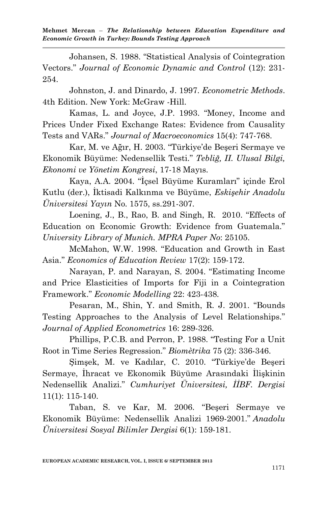Johansen, S. 1988. "Statistical Analysis of Cointegration Vectors." *Journal of Economic Dynamic and Control* (12): 231- 254.

Johnston, J. and Dinardo, J. 1997. *Econometric Methods*. 4th Edition. New York: McGraw -Hill.

Kamas, L. and Joyce, J.P. 1993. "Money, Income and Prices Under Fixed Exchange Rates: Evidence from Causality Tests and VARs." *Journal of Macroeconomics* 15(4): 747-768.

Kar, M. ve Ağır, H. 2003. "Türkiye'de Beşeri Sermaye ve Ekonomik Büyüme: Nedensellik Testi." *Tebliğ, II. Ulusal Bilgi, Ekonomi ve Yönetim Kongresi*, 17-18 Mayıs.

Kaya, A.A. 2004. "İçsel Büyüme Kuramları" içinde Erol Kutlu (der.), İktisadi Kalkınma ve Büyüme, *Eskişehir Anadolu Üniversitesi Yayın* No. 1575, ss.291-307.

Loening, J., B., Rao, B. and Singh, R. 2010. "Effects of Education on Economic Growth: Evidence from Guatemala." *University Library of Munich. MPRA Paper No*: 25105.

McMahon, W.W. 1998. "Education and Growth in East Asia." *Economics of Education Review* 17(2): 159-172.

Narayan, P. and Narayan, S. 2004. "Estimating Income and Price Elasticities of Imports for Fiji in a Cointegration Framework." *Economic Modelling* 22: 423-438.

Pesaran, M., Shin, Y. and Smith, R. J. 2001. "Bounds Testing Approaches to the Analysis of Level Relationships." *Journal of Applied Econometrics* 16: 289-326.

Phillips, P.C.B. and Perron, P. 1988. "Testing For a Unit Root in Time Series Regression." *Biomètrika* 75 (2): 336-346.

Şimşek, M. ve Kadılar, C. 2010. "Türkiye'de Beşeri Sermaye, İhracat ve Ekonomik Büyüme Arasındaki İlişkinin Nedensellik Analizi." *Cumhuriyet Üniversitesi, İİBF. Dergisi* 11(1): 115-140.

Taban, S. ve Kar, M. 2006. "Beşeri Sermaye ve Ekonomik Büyüme: Nedensellik Analizi 1969-2001." *Anadolu Üniversitesi Sosyal Bilimler Dergisi* 6(1): 159-181.